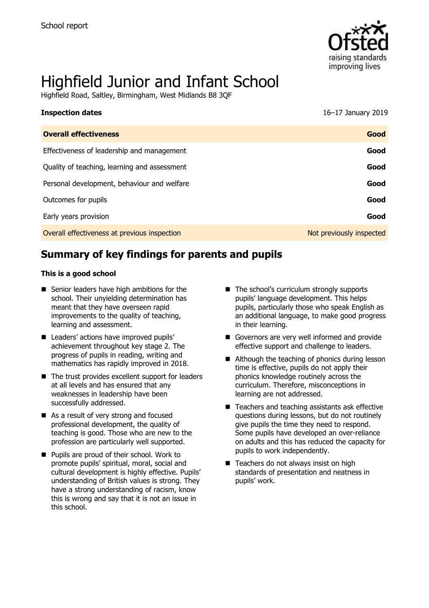

# Highfield Junior and Infant School

Highfield Road, Saltley, Birmingham, West Midlands B8 3QF

| <b>Inspection dates</b>                      | 16-17 January 2019       |
|----------------------------------------------|--------------------------|
| <b>Overall effectiveness</b>                 | Good                     |
| Effectiveness of leadership and management   | Good                     |
| Quality of teaching, learning and assessment | Good                     |
| Personal development, behaviour and welfare  | Good                     |
| Outcomes for pupils                          | Good                     |
| Early years provision                        | Good                     |
| Overall effectiveness at previous inspection | Not previously inspected |

# **Summary of key findings for parents and pupils**

#### **This is a good school**

- Senior leaders have high ambitions for the school. Their unyielding determination has meant that they have overseen rapid improvements to the quality of teaching, learning and assessment.
- Leaders' actions have improved pupils' achievement throughout key stage 2. The progress of pupils in reading, writing and mathematics has rapidly improved in 2018.
- The trust provides excellent support for leaders at all levels and has ensured that any weaknesses in leadership have been successfully addressed.
- As a result of very strong and focused professional development, the quality of teaching is good. Those who are new to the profession are particularly well supported.
- **Pupils are proud of their school. Work to** promote pupils' spiritual, moral, social and cultural development is highly effective. Pupils' understanding of British values is strong. They have a strong understanding of racism, know this is wrong and say that it is not an issue in this school.
- The school's curriculum strongly supports pupils' language development. This helps pupils, particularly those who speak English as an additional language, to make good progress in their learning.
- Governors are very well informed and provide effective support and challenge to leaders.
- Although the teaching of phonics during lesson time is effective, pupils do not apply their phonics knowledge routinely across the curriculum. Therefore, misconceptions in learning are not addressed.
- Teachers and teaching assistants ask effective questions during lessons, but do not routinely give pupils the time they need to respond. Some pupils have developed an over-reliance on adults and this has reduced the capacity for pupils to work independently.
- Teachers do not always insist on high standards of presentation and neatness in pupils' work.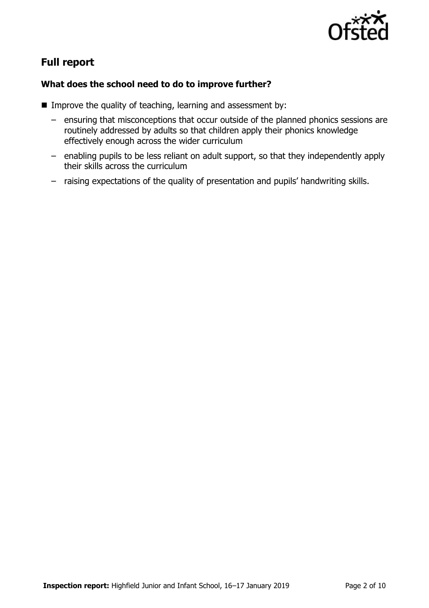

# **Full report**

### **What does the school need to do to improve further?**

- Improve the quality of teaching, learning and assessment by:
	- ensuring that misconceptions that occur outside of the planned phonics sessions are routinely addressed by adults so that children apply their phonics knowledge effectively enough across the wider curriculum
	- enabling pupils to be less reliant on adult support, so that they independently apply their skills across the curriculum
	- raising expectations of the quality of presentation and pupils' handwriting skills.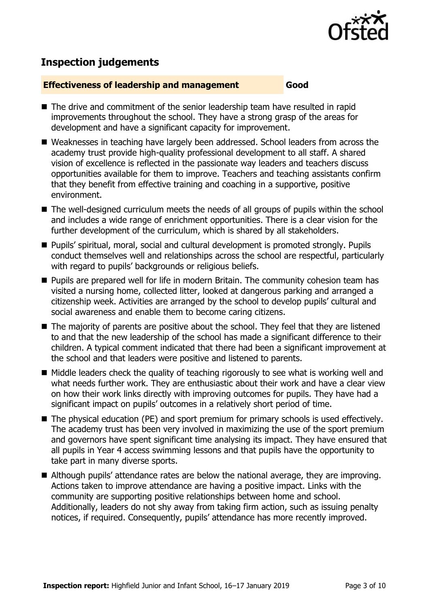

# **Inspection judgements**

#### **Effectiveness of leadership and management Good**

- The drive and commitment of the senior leadership team have resulted in rapid improvements throughout the school. They have a strong grasp of the areas for development and have a significant capacity for improvement.
- Weaknesses in teaching have largely been addressed. School leaders from across the academy trust provide high-quality professional development to all staff. A shared vision of excellence is reflected in the passionate way leaders and teachers discuss opportunities available for them to improve. Teachers and teaching assistants confirm that they benefit from effective training and coaching in a supportive, positive environment.
- The well-designed curriculum meets the needs of all groups of pupils within the school and includes a wide range of enrichment opportunities. There is a clear vision for the further development of the curriculum, which is shared by all stakeholders.
- Pupils' spiritual, moral, social and cultural development is promoted strongly. Pupils conduct themselves well and relationships across the school are respectful, particularly with regard to pupils' backgrounds or religious beliefs.
- **Pupils are prepared well for life in modern Britain. The community cohesion team has** visited a nursing home, collected litter, looked at dangerous parking and arranged a citizenship week. Activities are arranged by the school to develop pupils' cultural and social awareness and enable them to become caring citizens.
- The majority of parents are positive about the school. They feel that they are listened to and that the new leadership of the school has made a significant difference to their children. A typical comment indicated that there had been a significant improvement at the school and that leaders were positive and listened to parents.
- Middle leaders check the quality of teaching rigorously to see what is working well and what needs further work. They are enthusiastic about their work and have a clear view on how their work links directly with improving outcomes for pupils. They have had a significant impact on pupils' outcomes in a relatively short period of time.
- The physical education (PE) and sport premium for primary schools is used effectively. The academy trust has been very involved in maximizing the use of the sport premium and governors have spent significant time analysing its impact. They have ensured that all pupils in Year 4 access swimming lessons and that pupils have the opportunity to take part in many diverse sports.
- Although pupils' attendance rates are below the national average, they are improving. Actions taken to improve attendance are having a positive impact. Links with the community are supporting positive relationships between home and school. Additionally, leaders do not shy away from taking firm action, such as issuing penalty notices, if required. Consequently, pupils' attendance has more recently improved.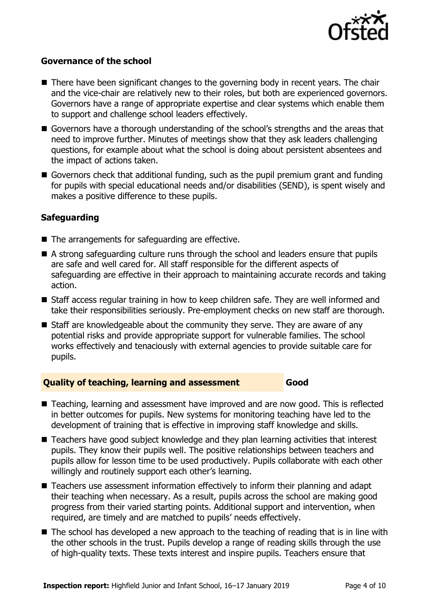

#### **Governance of the school**

- There have been significant changes to the governing body in recent years. The chair and the vice-chair are relatively new to their roles, but both are experienced governors. Governors have a range of appropriate expertise and clear systems which enable them to support and challenge school leaders effectively.
- Governors have a thorough understanding of the school's strengths and the areas that need to improve further. Minutes of meetings show that they ask leaders challenging questions, for example about what the school is doing about persistent absentees and the impact of actions taken.
- Governors check that additional funding, such as the pupil premium grant and funding for pupils with special educational needs and/or disabilities (SEND), is spent wisely and makes a positive difference to these pupils.

### **Safeguarding**

- The arrangements for safeguarding are effective.
- A strong safeguarding culture runs through the school and leaders ensure that pupils are safe and well cared for. All staff responsible for the different aspects of safeguarding are effective in their approach to maintaining accurate records and taking action.
- Staff access regular training in how to keep children safe. They are well informed and take their responsibilities seriously. Pre-employment checks on new staff are thorough.
- Staff are knowledgeable about the community they serve. They are aware of any potential risks and provide appropriate support for vulnerable families. The school works effectively and tenaciously with external agencies to provide suitable care for pupils.

#### **Quality of teaching, learning and assessment Good**

- Teaching, learning and assessment have improved and are now good. This is reflected in better outcomes for pupils. New systems for monitoring teaching have led to the development of training that is effective in improving staff knowledge and skills.
- Teachers have good subject knowledge and they plan learning activities that interest pupils. They know their pupils well. The positive relationships between teachers and pupils allow for lesson time to be used productively. Pupils collaborate with each other willingly and routinely support each other's learning.
- Teachers use assessment information effectively to inform their planning and adapt their teaching when necessary. As a result, pupils across the school are making good progress from their varied starting points. Additional support and intervention, when required, are timely and are matched to pupils' needs effectively.
- The school has developed a new approach to the teaching of reading that is in line with the other schools in the trust. Pupils develop a range of reading skills through the use of high-quality texts. These texts interest and inspire pupils. Teachers ensure that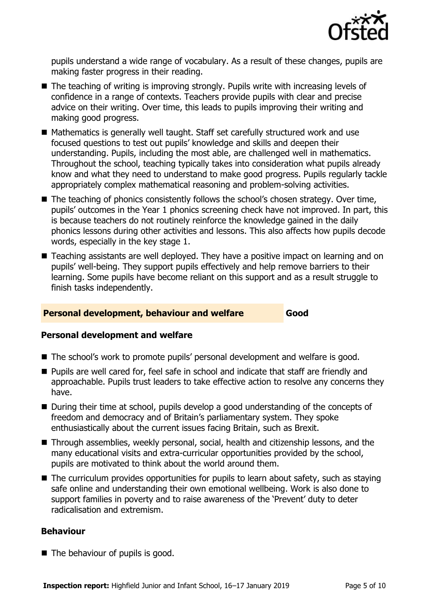

pupils understand a wide range of vocabulary. As a result of these changes, pupils are making faster progress in their reading.

- The teaching of writing is improving strongly. Pupils write with increasing levels of confidence in a range of contexts. Teachers provide pupils with clear and precise advice on their writing. Over time, this leads to pupils improving their writing and making good progress.
- Mathematics is generally well taught. Staff set carefully structured work and use focused questions to test out pupils' knowledge and skills and deepen their understanding. Pupils, including the most able, are challenged well in mathematics. Throughout the school, teaching typically takes into consideration what pupils already know and what they need to understand to make good progress. Pupils regularly tackle appropriately complex mathematical reasoning and problem-solving activities.
- The teaching of phonics consistently follows the school's chosen strategy. Over time, pupils' outcomes in the Year 1 phonics screening check have not improved. In part, this is because teachers do not routinely reinforce the knowledge gained in the daily phonics lessons during other activities and lessons. This also affects how pupils decode words, especially in the key stage 1.
- Teaching assistants are well deployed. They have a positive impact on learning and on pupils' well-being. They support pupils effectively and help remove barriers to their learning. Some pupils have become reliant on this support and as a result struggle to finish tasks independently.

#### **Personal development, behaviour and welfare Good**

#### **Personal development and welfare**

- The school's work to promote pupils' personal development and welfare is good.
- Pupils are well cared for, feel safe in school and indicate that staff are friendly and approachable. Pupils trust leaders to take effective action to resolve any concerns they have.
- During their time at school, pupils develop a good understanding of the concepts of freedom and democracy and of Britain's parliamentary system. They spoke enthusiastically about the current issues facing Britain, such as Brexit.
- Through assemblies, weekly personal, social, health and citizenship lessons, and the many educational visits and extra-curricular opportunities provided by the school, pupils are motivated to think about the world around them.
- $\blacksquare$  The curriculum provides opportunities for pupils to learn about safety, such as staying safe online and understanding their own emotional wellbeing. Work is also done to support families in poverty and to raise awareness of the 'Prevent' duty to deter radicalisation and extremism.

#### **Behaviour**

■ The behaviour of pupils is good.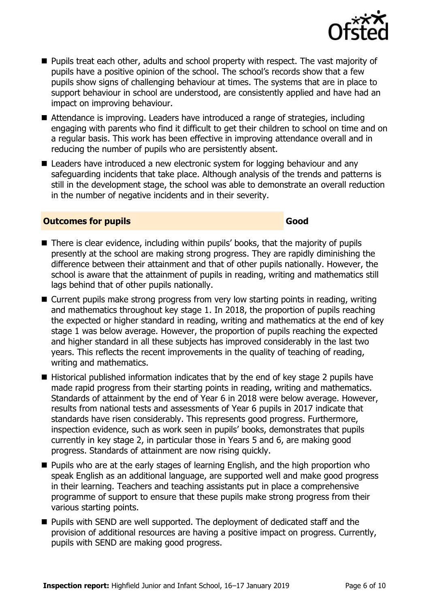

- **Pupils treat each other, adults and school property with respect. The vast majority of** pupils have a positive opinion of the school. The school's records show that a few pupils show signs of challenging behaviour at times. The systems that are in place to support behaviour in school are understood, are consistently applied and have had an impact on improving behaviour.
- Attendance is improving. Leaders have introduced a range of strategies, including engaging with parents who find it difficult to get their children to school on time and on a regular basis. This work has been effective in improving attendance overall and in reducing the number of pupils who are persistently absent.
- Leaders have introduced a new electronic system for logging behaviour and any safeguarding incidents that take place. Although analysis of the trends and patterns is still in the development stage, the school was able to demonstrate an overall reduction in the number of negative incidents and in their severity.

#### **Outcomes for pupils Good**

- There is clear evidence, including within pupils' books, that the majority of pupils presently at the school are making strong progress. They are rapidly diminishing the difference between their attainment and that of other pupils nationally. However, the school is aware that the attainment of pupils in reading, writing and mathematics still lags behind that of other pupils nationally.
- Current pupils make strong progress from very low starting points in reading, writing and mathematics throughout key stage 1. In 2018, the proportion of pupils reaching the expected or higher standard in reading, writing and mathematics at the end of key stage 1 was below average. However, the proportion of pupils reaching the expected and higher standard in all these subjects has improved considerably in the last two years. This reflects the recent improvements in the quality of teaching of reading, writing and mathematics.
- Historical published information indicates that by the end of key stage 2 pupils have made rapid progress from their starting points in reading, writing and mathematics. Standards of attainment by the end of Year 6 in 2018 were below average. However, results from national tests and assessments of Year 6 pupils in 2017 indicate that standards have risen considerably. This represents good progress. Furthermore, inspection evidence, such as work seen in pupils' books, demonstrates that pupils currently in key stage 2, in particular those in Years 5 and 6, are making good progress. Standards of attainment are now rising quickly.
- **Pupils who are at the early stages of learning English, and the high proportion who** speak English as an additional language, are supported well and make good progress in their learning. Teachers and teaching assistants put in place a comprehensive programme of support to ensure that these pupils make strong progress from their various starting points.
- **Pupils with SEND are well supported. The deployment of dedicated staff and the** provision of additional resources are having a positive impact on progress. Currently, pupils with SEND are making good progress.

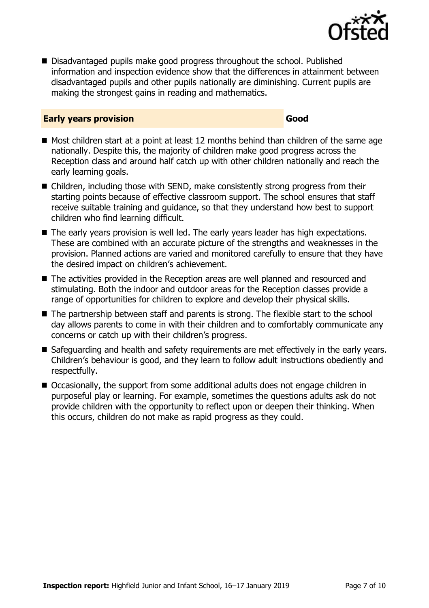

■ Disadvantaged pupils make good progress throughout the school. Published information and inspection evidence show that the differences in attainment between disadvantaged pupils and other pupils nationally are diminishing. Current pupils are making the strongest gains in reading and mathematics.

#### **Early years provision Good Good**

- Most children start at a point at least 12 months behind than children of the same age nationally. Despite this, the majority of children make good progress across the Reception class and around half catch up with other children nationally and reach the early learning goals.
- Children, including those with SEND, make consistently strong progress from their starting points because of effective classroom support. The school ensures that staff receive suitable training and guidance, so that they understand how best to support children who find learning difficult.
- The early years provision is well led. The early years leader has high expectations. These are combined with an accurate picture of the strengths and weaknesses in the provision. Planned actions are varied and monitored carefully to ensure that they have the desired impact on children's achievement.
- The activities provided in the Reception areas are well planned and resourced and stimulating. Both the indoor and outdoor areas for the Reception classes provide a range of opportunities for children to explore and develop their physical skills.
- The partnership between staff and parents is strong. The flexible start to the school day allows parents to come in with their children and to comfortably communicate any concerns or catch up with their children's progress.
- Safeguarding and health and safety requirements are met effectively in the early years. Children's behaviour is good, and they learn to follow adult instructions obediently and respectfully.
- Occasionally, the support from some additional adults does not engage children in purposeful play or learning. For example, sometimes the questions adults ask do not provide children with the opportunity to reflect upon or deepen their thinking. When this occurs, children do not make as rapid progress as they could.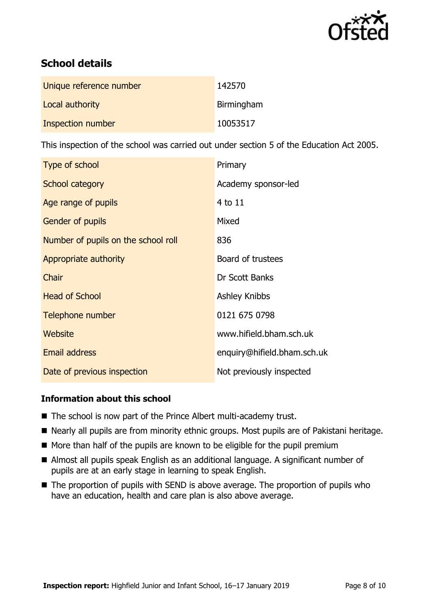

# **School details**

| Unique reference number | 142570     |
|-------------------------|------------|
| Local authority         | Birmingham |
| Inspection number       | 10053517   |

This inspection of the school was carried out under section 5 of the Education Act 2005.

| Type of school                      | Primary                     |
|-------------------------------------|-----------------------------|
| School category                     | Academy sponsor-led         |
| Age range of pupils                 | 4 to 11                     |
| Gender of pupils                    | Mixed                       |
| Number of pupils on the school roll | 836                         |
| Appropriate authority               | Board of trustees           |
| Chair                               | Dr Scott Banks              |
| <b>Head of School</b>               | <b>Ashley Knibbs</b>        |
| Telephone number                    | 0121 675 0798               |
| Website                             | www.hifield.bham.sch.uk     |
| <b>Email address</b>                | enquiry@hifield.bham.sch.uk |
| Date of previous inspection         | Not previously inspected    |

#### **Information about this school**

- The school is now part of the Prince Albert multi-academy trust.
- Nearly all pupils are from minority ethnic groups. Most pupils are of Pakistani heritage.
- More than half of the pupils are known to be eligible for the pupil premium
- Almost all pupils speak English as an additional language. A significant number of pupils are at an early stage in learning to speak English.
- $\blacksquare$  The proportion of pupils with SEND is above average. The proportion of pupils who have an education, health and care plan is also above average.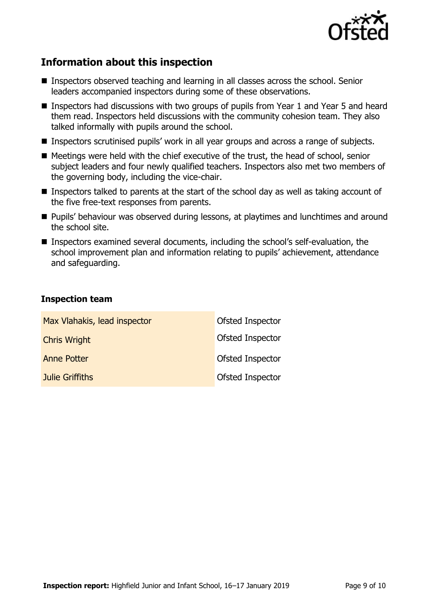

# **Information about this inspection**

- Inspectors observed teaching and learning in all classes across the school. Senior leaders accompanied inspectors during some of these observations.
- Inspectors had discussions with two groups of pupils from Year 1 and Year 5 and heard them read. Inspectors held discussions with the community cohesion team. They also talked informally with pupils around the school.
- Inspectors scrutinised pupils' work in all year groups and across a range of subjects.
- Meetings were held with the chief executive of the trust, the head of school, senior subject leaders and four newly qualified teachers. Inspectors also met two members of the governing body, including the vice-chair.
- Inspectors talked to parents at the start of the school day as well as taking account of the five free-text responses from parents.
- **Pupils' behaviour was observed during lessons, at playtimes and lunchtimes and around** the school site.
- Inspectors examined several documents, including the school's self-evaluation, the school improvement plan and information relating to pupils' achievement, attendance and safeguarding.

#### **Inspection team**

| Max Vlahakis, lead inspector | Ofsted Inspector        |
|------------------------------|-------------------------|
| <b>Chris Wright</b>          | <b>Ofsted Inspector</b> |
| <b>Anne Potter</b>           | Ofsted Inspector        |
| <b>Julie Griffiths</b>       | <b>Ofsted Inspector</b> |